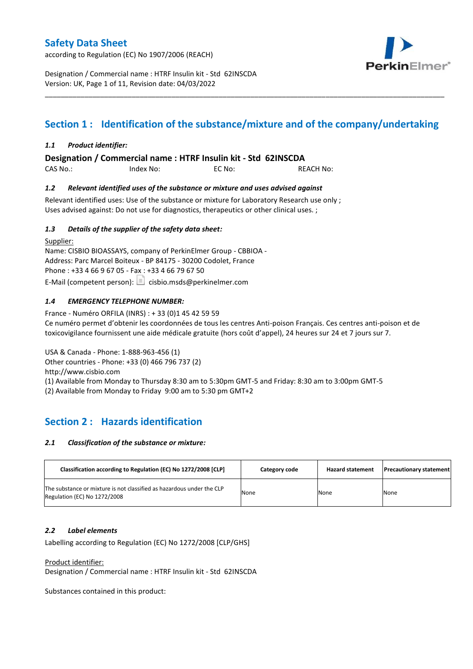according to Regulation (EC) No 1907/2006 (REACH)



Designation / Commercial name : HTRF Insulin kit - Std 62INSCDA Version: UK, Page 1 of 11, Revision date: 04/03/2022

# **Section 1 : Identification of the substance/mixture and of the company/undertaking**

\_\_\_\_\_\_\_\_\_\_\_\_\_\_\_\_\_\_\_\_\_\_\_\_\_\_\_\_\_\_\_\_\_\_\_\_\_\_\_\_\_\_\_\_\_\_\_\_\_\_\_\_\_\_\_\_\_\_\_\_\_\_\_\_\_\_\_\_\_\_\_\_\_\_\_\_\_\_\_\_\_\_\_\_\_\_\_\_\_\_\_\_\_\_\_\_\_\_\_\_\_

### *1.1 Product identifier:*

**Designation / Commercial name : HTRF Insulin kit - Std 62INSCDA** 

CAS No.: Index No: EC No: REACH No:

### *1.2 Relevant identified uses of the substance or mixture and uses advised against*

Relevant identified uses: Use of the substance or mixture for Laboratory Research use only ; Uses advised against: Do not use for diagnostics, therapeutics or other clinical uses. ;

### *1.3 Details of the supplier of the safety data sheet:*

Supplier: Name: CISBIO BIOASSAYS, company of PerkinElmer Group - CBBIOA - Address: Parc Marcel Boiteux - BP 84175 - 30200 Codolet, France Phone : +33 4 66 9 67 05 - Fax : +33 4 66 79 67 50 E-Mail (competent person):  $\Box$  cisbio.msds@perkinelmer.com

## *1.4 EMERGENCY TELEPHONE NUMBER:*

France - Numéro ORFILA (INRS) : + 33 (0)1 45 42 59 59 Ce numéro permet d'obtenir les coordonnées de tous les centres Anti-poison Français. Ces centres anti-poison et de toxicovigilance fournissent une aide médicale gratuite (hors coût d'appel), 24 heures sur 24 et 7 jours sur 7.

USA & Canada - Phone: 1-888-963-456 (1) Other countries - Phone: +33 (0) 466 796 737 (2)

http://www.cisbio.com

(1) Available from Monday to Thursday 8:30 am to 5:30pm GMT-5 and Friday: 8:30 am to 3:00pm GMT-5

(2) Available from Monday to Friday 9:00 am to 5:30 pm GMT+2

## **Section 2 : Hazards identification**

#### *2.1 Classification of the substance or mixture:*

| Classification according to Regulation (EC) No 1272/2008 [CLP]                                        | Category code | <b>Hazard statement</b> | <b>Precautionary statement</b> |
|-------------------------------------------------------------------------------------------------------|---------------|-------------------------|--------------------------------|
| The substance or mixture is not classified as hazardous under the CLP<br>Regulation (EC) No 1272/2008 | None          | None                    | None                           |

#### *2.2 Label elements*

Labelling according to Regulation (EC) No 1272/2008 [CLP/GHS]

Product identifier:

Designation / Commercial name : HTRF Insulin kit - Std 62INSCDA

Substances contained in this product: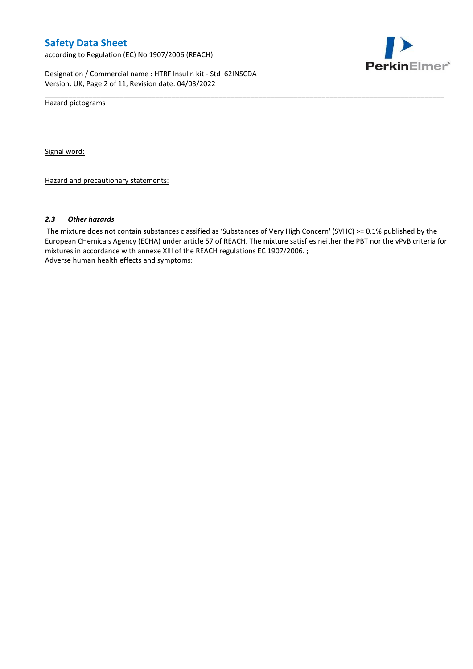according to Regulation (EC) No 1907/2006 (REACH)



Designation / Commercial name : HTRF Insulin kit - Std 62INSCDA Version: UK, Page 2 of 11, Revision date: 04/03/2022

Hazard pictograms

Signal word:

Hazard and precautionary statements:

#### *2.3 Other hazards*

The mixture does not contain substances classified as 'Substances of Very High Concern' (SVHC) >= 0.1% published by the European CHemicals Agency (ECHA) under article 57 of REACH. The mixture satisfies neither the PBT nor the vPvB criteria for mixtures in accordance with annexe XIII of the REACH regulations EC 1907/2006. ; Adverse human health effects and symptoms:

\_\_\_\_\_\_\_\_\_\_\_\_\_\_\_\_\_\_\_\_\_\_\_\_\_\_\_\_\_\_\_\_\_\_\_\_\_\_\_\_\_\_\_\_\_\_\_\_\_\_\_\_\_\_\_\_\_\_\_\_\_\_\_\_\_\_\_\_\_\_\_\_\_\_\_\_\_\_\_\_\_\_\_\_\_\_\_\_\_\_\_\_\_\_\_\_\_\_\_\_\_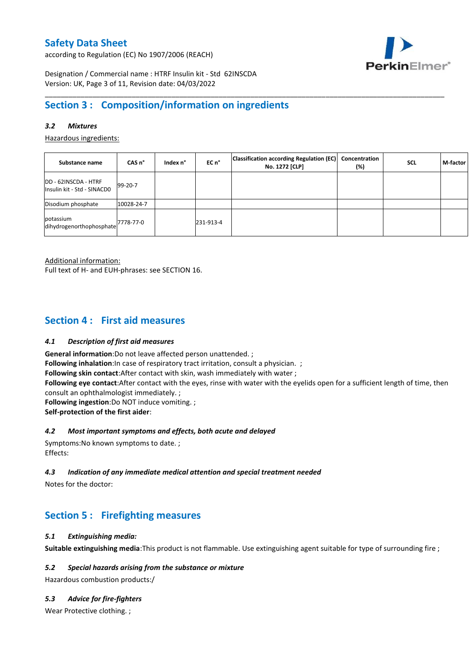according to Regulation (EC) No 1907/2006 (REACH)



Designation / Commercial name : HTRF Insulin kit - Std 62INSCDA Version: UK, Page 3 of 11, Revision date: 04/03/2022

## **Section 3 : Composition/information on ingredients**

## *3.2 Mixtures*

Hazardous ingredients:

| Substance name                                              | CAS <sub>n</sub> ° | Index n° | EC n°     | <b>Classification according Regulation (EC)</b><br>No. 1272 [CLP] | Concentration<br>(%) | <b>SCL</b> | M-factor |
|-------------------------------------------------------------|--------------------|----------|-----------|-------------------------------------------------------------------|----------------------|------------|----------|
| DD - 62INSCDA - HTRF<br>Insulin kit - Std - SINACD0         | 99-20-7            |          |           |                                                                   |                      |            |          |
| Disodium phosphate                                          | 10028-24-7         |          |           |                                                                   |                      |            |          |
| potassium<br>ldihydrogenorthophosphate <sup>7778-77-0</sup> |                    |          | 231-913-4 |                                                                   |                      |            |          |

\_\_\_\_\_\_\_\_\_\_\_\_\_\_\_\_\_\_\_\_\_\_\_\_\_\_\_\_\_\_\_\_\_\_\_\_\_\_\_\_\_\_\_\_\_\_\_\_\_\_\_\_\_\_\_\_\_\_\_\_\_\_\_\_\_\_\_\_\_\_\_\_\_\_\_\_\_\_\_\_\_\_\_\_\_\_\_\_\_\_\_\_\_\_\_\_\_\_\_\_\_

Additional information:

Full text of H- and EUH-phrases: see SECTION 16.

## **Section 4 : First aid measures**

#### *4.1 Description of first aid measures*

**General information**:Do not leave affected person unattended. ;

**Following inhalation:**In case of respiratory tract irritation, consult a physician. ;

**Following skin contact**:After contact with skin, wash immediately with water ;

**Following eye contact**:After contact with the eyes, rinse with water with the eyelids open for a sufficient length of time, then consult an ophthalmologist immediately. ;

**Following ingestion**:Do NOT induce vomiting. ;

**Self-protection of the first aider**:

## *4.2 Most important symptoms and effects, both acute and delayed*

Symptoms:No known symptoms to date. ; Effects:

## *4.3 Indication of any immediate medical attention and special treatment needed*

Notes for the doctor:

# **Section 5 : Firefighting measures**

#### *5.1 Extinguishing media:*

**Suitable extinguishing media**:This product is not flammable. Use extinguishing agent suitable for type of surrounding fire ;

#### *5.2 Special hazards arising from the substance or mixture*

Hazardous combustion products:/

## *5.3 Advice for fire-fighters*

Wear Protective clothing.;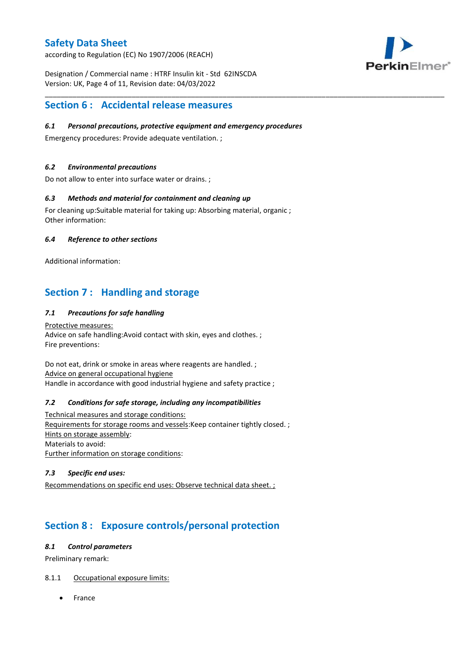according to Regulation (EC) No 1907/2006 (REACH)



Designation / Commercial name : HTRF Insulin kit - Std 62INSCDA Version: UK, Page 4 of 11, Revision date: 04/03/2022

## **Section 6 : Accidental release measures**

### *6.1 Personal precautions, protective equipment and emergency procedures*

\_\_\_\_\_\_\_\_\_\_\_\_\_\_\_\_\_\_\_\_\_\_\_\_\_\_\_\_\_\_\_\_\_\_\_\_\_\_\_\_\_\_\_\_\_\_\_\_\_\_\_\_\_\_\_\_\_\_\_\_\_\_\_\_\_\_\_\_\_\_\_\_\_\_\_\_\_\_\_\_\_\_\_\_\_\_\_\_\_\_\_\_\_\_\_\_\_\_\_\_\_

Emergency procedures: Provide adequate ventilation. ;

## *6.2 Environmental precautions*

Do not allow to enter into surface water or drains. ;

### *6.3 Methods and material for containment and cleaning up*

For cleaning up:Suitable material for taking up: Absorbing material, organic ; Other information:

### *6.4 Reference to other sections*

Additional information:

## **Section 7 : Handling and storage**

## *7.1 Precautions for safe handling*

Protective measures: Advice on safe handling:Avoid contact with skin, eyes and clothes. ; Fire preventions:

Do not eat, drink or smoke in areas where reagents are handled. ; Advice on general occupational hygiene Handle in accordance with good industrial hygiene and safety practice ;

#### *7.2 Conditions for safe storage, including any incompatibilities*

Technical measures and storage conditions: Requirements for storage rooms and vessels:Keep container tightly closed. ; Hints on storage assembly: Materials to avoid: Further information on storage conditions:

### *7.3 Specific end uses:*

Recommendations on specific end uses: Observe technical data sheet. ;

# **Section 8 : Exposure controls/personal protection**

#### *8.1 Control parameters*

Preliminary remark:

## 8.1.1 Occupational exposure limits:

France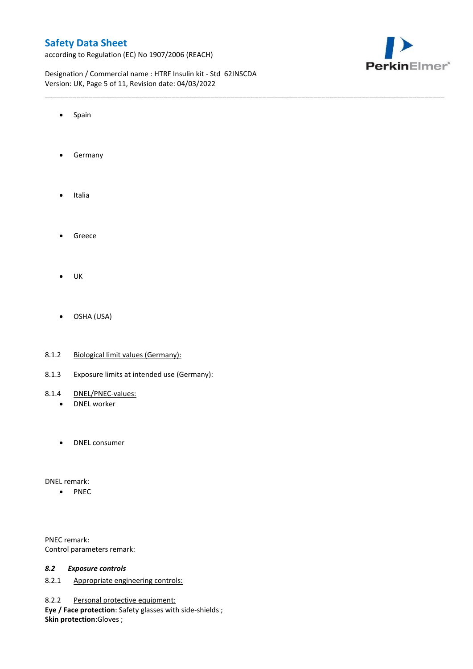according to Regulation (EC) No 1907/2006 (REACH)



Designation / Commercial name : HTRF Insulin kit - Std 62INSCDA Version: UK, Page 5 of 11, Revision date: 04/03/2022

\_\_\_\_\_\_\_\_\_\_\_\_\_\_\_\_\_\_\_\_\_\_\_\_\_\_\_\_\_\_\_\_\_\_\_\_\_\_\_\_\_\_\_\_\_\_\_\_\_\_\_\_\_\_\_\_\_\_\_\_\_\_\_\_\_\_\_\_\_\_\_\_\_\_\_\_\_\_\_\_\_\_\_\_\_\_\_\_\_\_\_\_\_\_\_\_\_\_\_\_\_

- Spain
- **•** Germany
- Italia
- **•** Greece
- $\bullet$  UK
- OSHA (USA)
- 8.1.2 Biological limit values (Germany):
- 8.1.3 Exposure limits at intended use (Germany):
- 8.1.4 DNEL/PNEC-values:
	- DNEL worker
	- DNEL consumer

DNEL remark:

• PNEC

PNEC remark: Control parameters remark:

#### *8.2 Exposure controls*

8.2.1 Appropriate engineering controls:

8.2.2 Personal protective equipment:

**Eye / Face protection**: Safety glasses with side-shields ; **Skin protection**:Gloves ;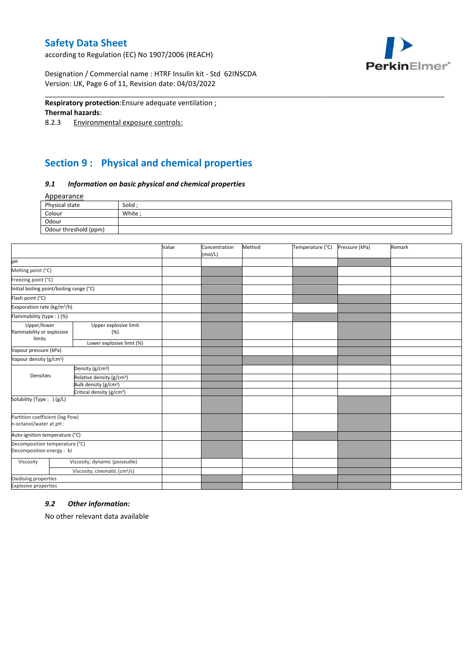according to Regulation (EC) No 1907/2006 (REACH)



Designation / Commercial name : HTRF Insulin kit - Std 62INSCDA Version: UK, Page 6 of 11, Revision date: 04/03/2022

#### **Respiratory protection**:Ensure adequate ventilation ;

#### **Thermal hazards**:

8.2.3 Environmental exposure controls:

# **Section 9 : Physical and chemical properties**

#### *9.1 Information on basic physical and chemical properties*

Appearance

| Physical state        | Solid |
|-----------------------|-------|
| Colour                | White |
| Odour                 |       |
| Odour threshold (ppm) |       |

\_\_\_\_\_\_\_\_\_\_\_\_\_\_\_\_\_\_\_\_\_\_\_\_\_\_\_\_\_\_\_\_\_\_\_\_\_\_\_\_\_\_\_\_\_\_\_\_\_\_\_\_\_\_\_\_\_\_\_\_\_\_\_\_\_\_\_\_\_\_\_\_\_\_\_\_\_\_\_\_\_\_\_\_\_\_\_\_\_\_\_\_\_\_\_\_\_\_\_\_\_

|                                                             |                                           | Value | Concentration<br>(mol/L) | Method | Temperature (°C) | Pressure (kPa) | Remark |
|-------------------------------------------------------------|-------------------------------------------|-------|--------------------------|--------|------------------|----------------|--------|
| pH                                                          |                                           |       |                          |        |                  |                |        |
| Melting point (°C)                                          |                                           |       |                          |        |                  |                |        |
| Freezing point (°C)                                         |                                           |       |                          |        |                  |                |        |
| Initial boiling point/boiling range (°C)                    |                                           |       |                          |        |                  |                |        |
| Flash point (°C)                                            |                                           |       |                          |        |                  |                |        |
| Evaporation rate (kg/m <sup>2</sup> /h)                     |                                           |       |                          |        |                  |                |        |
| Flammability (type:) (%)                                    |                                           |       |                          |        |                  |                |        |
| Upper/lower<br>flammability or explosive                    | Upper explosive limit<br>(%)              |       |                          |        |                  |                |        |
| limits                                                      | Lower explosive limit (%)                 |       |                          |        |                  |                |        |
| Vapour pressure (kPa)                                       |                                           |       |                          |        |                  |                |        |
| Vapour density (g/cm <sup>3</sup> )                         |                                           |       |                          |        |                  |                |        |
|                                                             | Density (g/cm <sup>3</sup> )              |       |                          |        |                  |                |        |
| Densities                                                   | Relative density (g/cm <sup>3</sup> )     |       |                          |        |                  |                |        |
|                                                             | Bulk density (g/cm <sup>3</sup> )         |       |                          |        |                  |                |        |
| Critical density (g/cm <sup>3</sup> )                       |                                           |       |                          |        |                  |                |        |
| Solubility (Type: ) (g/L)                                   |                                           |       |                          |        |                  |                |        |
| Partition coefficient (log Pow)                             |                                           |       |                          |        |                  |                |        |
| n-octanol/water at pH :                                     |                                           |       |                          |        |                  |                |        |
| Auto-ignition temperature (°C)                              |                                           |       |                          |        |                  |                |        |
| Decomposition temperature (°C)<br>Decomposition energy : kJ |                                           |       |                          |        |                  |                |        |
| Viscosity                                                   | Viscosity, dynamic (poiseuille)           |       |                          |        |                  |                |        |
|                                                             | Viscosity, cinematic (cm <sup>3</sup> /s) |       |                          |        |                  |                |        |
| Oxidising properties                                        |                                           |       |                          |        |                  |                |        |
| <b>Explosive properties</b>                                 |                                           |       |                          |        |                  |                |        |

#### *9.2 Other information:*

No other relevant data available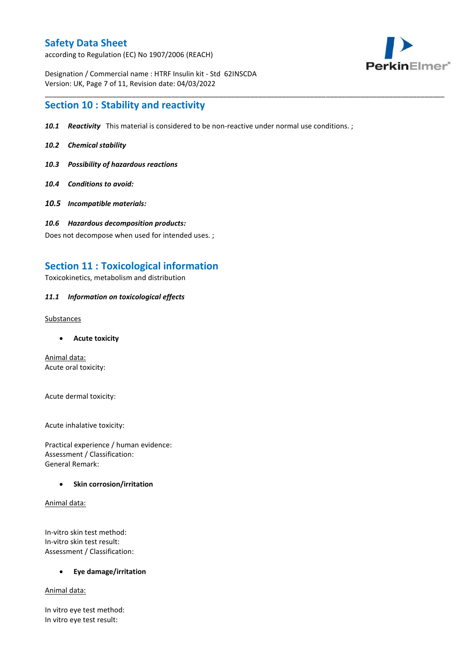according to Regulation (EC) No 1907/2006 (REACH)



Designation / Commercial name : HTRF Insulin kit - Std 62INSCDA Version: UK, Page 7 of 11, Revision date: 04/03/2022

## **Section 10 : Stability and reactivity**

*10.1 Reactivity* This material is considered to be non-reactive under normal use conditions. ;

\_\_\_\_\_\_\_\_\_\_\_\_\_\_\_\_\_\_\_\_\_\_\_\_\_\_\_\_\_\_\_\_\_\_\_\_\_\_\_\_\_\_\_\_\_\_\_\_\_\_\_\_\_\_\_\_\_\_\_\_\_\_\_\_\_\_\_\_\_\_\_\_\_\_\_\_\_\_\_\_\_\_\_\_\_\_\_\_\_\_\_\_\_\_\_\_\_\_\_\_\_

- *10.2 Chemical stability*
- *10.3 Possibility of hazardous reactions*
- *10.4 Conditions to avoid:*
- *10.5 Incompatible materials:*
- *10.6 Hazardous decomposition products:*

Does not decompose when used for intended uses. ;

## **Section 11 : Toxicological information**

Toxicokinetics, metabolism and distribution

### *11.1 Information on toxicological effects*

Substances

**Acute toxicity**

Animal data: Acute oral toxicity:

Acute dermal toxicity:

Acute inhalative toxicity:

Practical experience / human evidence: Assessment / Classification: General Remark:

## **•** Skin corrosion/irritation

Animal data:

In-vitro skin test method: In-vitro skin test result: Assessment / Classification:

**Eye damage/irritation**

Animal data:

In vitro eye test method: In vitro eye test result: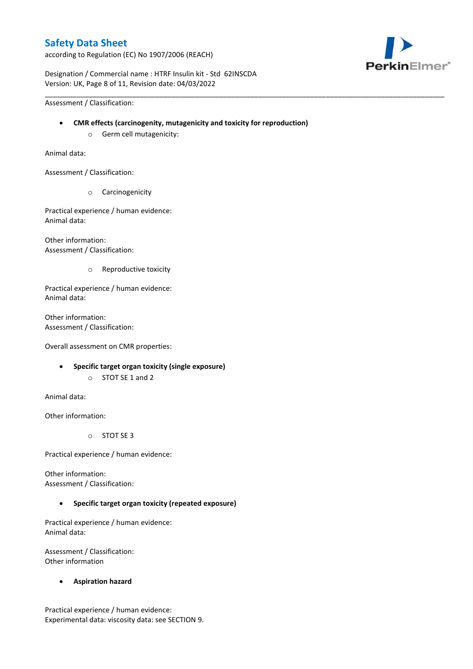according to Regulation (EC) No 1907/2006 (REACH)



Designation / Commercial name : HTRF Insulin kit - Std 62INSCDA Version: UK, Page 8 of 11, Revision date: 04/03/2022

Assessment / Classification:

**CMR effects (carcinogenity, mutagenicity and toxicity for reproduction)**

\_\_\_\_\_\_\_\_\_\_\_\_\_\_\_\_\_\_\_\_\_\_\_\_\_\_\_\_\_\_\_\_\_\_\_\_\_\_\_\_\_\_\_\_\_\_\_\_\_\_\_\_\_\_\_\_\_\_\_\_\_\_\_\_\_\_\_\_\_\_\_\_\_\_\_\_\_\_\_\_\_\_\_\_\_\_\_\_\_\_\_\_\_\_\_\_\_\_\_\_\_

o Germ cell mutagenicity:

Animal data:

Assessment / Classification:

o Carcinogenicity

Practical experience / human evidence: Animal data:

Other information: Assessment / Classification:

o Reproductive toxicity

Practical experience / human evidence: Animal data:

Other information: Assessment / Classification:

Overall assessment on CMR properties:

- **Specific target organ toxicity (single exposure)**
	- o STOT SE 1 and 2

Animal data:

Other information:

o STOT SE 3

Practical experience / human evidence:

Other information: Assessment / Classification:

## **Specific target organ toxicity (repeated exposure)**

Practical experience / human evidence: Animal data:

Assessment / Classification: Other information

**Aspiration hazard**

Practical experience / human evidence: Experimental data: viscosity data: see SECTION 9.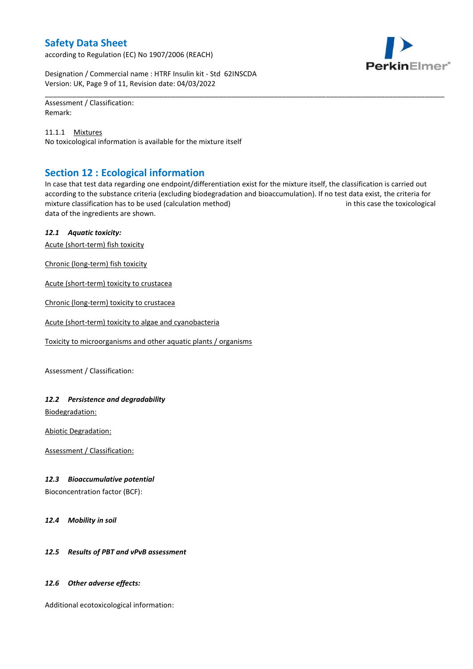according to Regulation (EC) No 1907/2006 (REACH)



Designation / Commercial name : HTRF Insulin kit - Std 62INSCDA Version: UK, Page 9 of 11, Revision date: 04/03/2022

Assessment / Classification: Remark:

11.1.1 Mixtures No toxicological information is available for the mixture itself

## **Section 12 : Ecological information**

In case that test data regarding one endpoint/differentiation exist for the mixture itself, the classification is carried out according to the substance criteria (excluding biodegradation and bioaccumulation). If no test data exist, the criteria for mixture classification has to be used (calculation method) in this case the toxicological data of the ingredients are shown.

\_\_\_\_\_\_\_\_\_\_\_\_\_\_\_\_\_\_\_\_\_\_\_\_\_\_\_\_\_\_\_\_\_\_\_\_\_\_\_\_\_\_\_\_\_\_\_\_\_\_\_\_\_\_\_\_\_\_\_\_\_\_\_\_\_\_\_\_\_\_\_\_\_\_\_\_\_\_\_\_\_\_\_\_\_\_\_\_\_\_\_\_\_\_\_\_\_\_\_\_\_

## *12.1 Aquatic toxicity:*

Acute (short-term) fish toxicity

Chronic (long-term) fish toxicity

Acute (short-term) toxicity to crustacea

Chronic (long-term) toxicity to crustacea

Acute (short-term) toxicity to algae and cyanobacteria

Toxicity to microorganisms and other aquatic plants / organisms

Assessment / Classification:

## *12.2 Persistence and degradability*

Biodegradation:

Abiotic Degradation:

Assessment / Classification:

## *12.3 Bioaccumulative potential*

Bioconcentration factor (BCF):

*12.4 Mobility in soil*

## *12.5 Results of PBT and vPvB assessment*

## *12.6 Other adverse effects:*

Additional ecotoxicological information: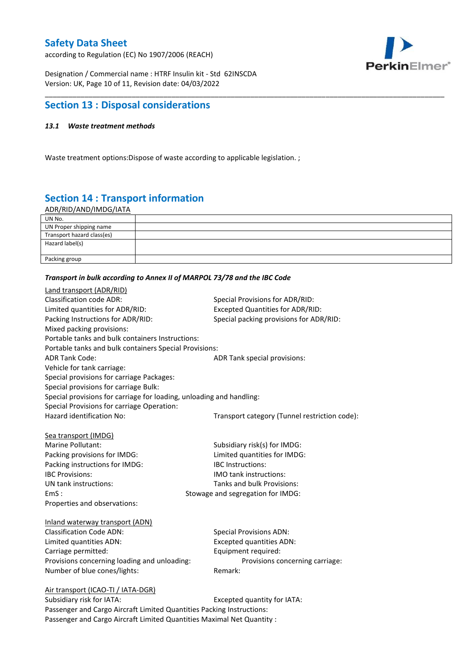according to Regulation (EC) No 1907/2006 (REACH)



Designation / Commercial name : HTRF Insulin kit - Std 62INSCDA Version: UK, Page 10 of 11, Revision date: 04/03/2022

## **Section 13 : Disposal considerations**

### *13.1 Waste treatment methods*

Waste treatment options:Dispose of waste according to applicable legislation. ;

# **Section 14 : Transport information**

ADR/RID/AND/IMDG/IATA

| UN No.                     |  |
|----------------------------|--|
| UN Proper shipping name    |  |
| Transport hazard class(es) |  |
| Hazard label(s)            |  |
|                            |  |
| Packing group              |  |

\_\_\_\_\_\_\_\_\_\_\_\_\_\_\_\_\_\_\_\_\_\_\_\_\_\_\_\_\_\_\_\_\_\_\_\_\_\_\_\_\_\_\_\_\_\_\_\_\_\_\_\_\_\_\_\_\_\_\_\_\_\_\_\_\_\_\_\_\_\_\_\_\_\_\_\_\_\_\_\_\_\_\_\_\_\_\_\_\_\_\_\_\_\_\_\_\_\_\_\_\_

#### *Transport in bulk according to Annex II of MARPOL 73/78 and the IBC Code*

| Land transport (ADR/RID)                                             |                                               |
|----------------------------------------------------------------------|-----------------------------------------------|
| <b>Classification code ADR:</b>                                      | Special Provisions for ADR/RID:               |
| Limited quantities for ADR/RID:                                      | <b>Excepted Quantities for ADR/RID:</b>       |
| Packing Instructions for ADR/RID:                                    | Special packing provisions for ADR/RID:       |
| Mixed packing provisions:                                            |                                               |
| Portable tanks and bulk containers Instructions:                     |                                               |
| Portable tanks and bulk containers Special Provisions:               |                                               |
| <b>ADR Tank Code:</b>                                                | ADR Tank special provisions:                  |
| Vehicle for tank carriage:                                           |                                               |
| Special provisions for carriage Packages:                            |                                               |
| Special provisions for carriage Bulk:                                |                                               |
| Special provisions for carriage for loading, unloading and handling: |                                               |
| Special Provisions for carriage Operation:                           |                                               |
| Hazard identification No:                                            | Transport category (Tunnel restriction code): |
|                                                                      |                                               |
| Sea transport (IMDG)                                                 |                                               |
| Marine Pollutant:                                                    | Subsidiary risk(s) for IMDG:                  |
| Packing provisions for IMDG:                                         | Limited quantities for IMDG:                  |
| Packing instructions for IMDG:                                       | IBC Instructions:                             |
| <b>IBC Provisions:</b>                                               | <b>IMO</b> tank instructions:                 |
| UN tank instructions:                                                | Tanks and bulk Provisions:                    |
| EmS:                                                                 | Stowage and segregation for IMDG:             |
| Properties and observations:                                         |                                               |
| Inland waterway transport (ADN)                                      |                                               |
| <b>Classification Code ADN:</b>                                      | <b>Special Provisions ADN:</b>                |
| Limited quantities ADN:                                              | <b>Excepted quantities ADN:</b>               |
| Carriage permitted:                                                  | Equipment required:                           |
| Provisions concerning loading and unloading:                         | Provisions concerning carriage:               |
| Number of blue cones/lights:                                         | Remark:                                       |
|                                                                      |                                               |
| Air transport (ICAO-TI / IATA-DGR)                                   |                                               |
| Subsidiary risk for IATA.                                            | Excented quantity for IATA.                   |

Subsidiary risk for IATA: Excepted quantity for IATA: Passenger and Cargo Aircraft Limited Quantities Packing Instructions: Passenger and Cargo Aircraft Limited Quantities Maximal Net Quantity :